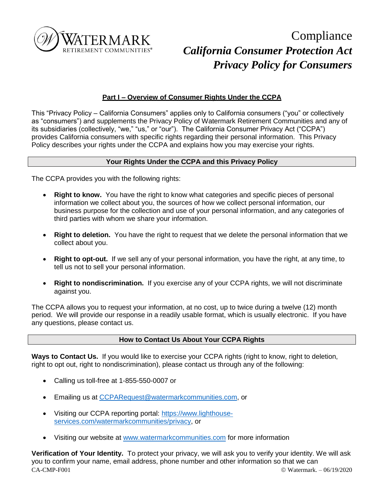

# **Compliance** *California Consumer Protection Act Privacy Policy for Consumers*

# **Part I – Overview of Consumer Rights Under the CCPA**

This "Privacy Policy – California Consumers" applies only to California consumers ("you" or collectively as "consumers") and supplements the Privacy Policy of Watermark Retirement Communities and any of its subsidiaries (collectively, "we," "us," or "our"). The California Consumer Privacy Act ("CCPA") provides California consumers with specific rights regarding their personal information. This Privacy Policy describes your rights under the CCPA and explains how you may exercise your rights.

## **Your Rights Under the CCPA and this Privacy Policy**

The CCPA provides you with the following rights:

- **Right to know.** You have the right to know what categories and specific pieces of personal information we collect about you, the sources of how we collect personal information, our business purpose for the collection and use of your personal information, and any categories of third parties with whom we share your information.
- **Right to deletion.** You have the right to request that we delete the personal information that we collect about you.
- **Right to opt-out.** If we sell any of your personal information, you have the right, at any time, to tell us not to sell your personal information.
- **Right to nondiscrimination.** If you exercise any of your CCPA rights, we will not discriminate against you.

The CCPA allows you to request your information, at no cost, up to twice during a twelve (12) month period. We will provide our response in a readily usable format, which is usually electronic. If you have any questions, please contact us.

## **How to Contact Us About Your CCPA Rights**

Ways to Contact Us. If you would like to exercise your CCPA rights (right to know, right to deletion, right to opt out, right to nondiscrimination), please contact us through any of the following:

- Calling us toll-free at 1-855-550-0007 or
- **Emailing us at [CCPARequest@watermarkcommunities.com,](mailto:CCPARequest@watermarkcommunities.com) or**
- Visiting our CCPA reporting portal: [https://www.lighthouse](https://www.lighthouse-services.com/watermarkcommunities/privacy)[services.com/watermarkcommunities/privacy,](https://www.lighthouse-services.com/watermarkcommunities/privacy) or
- Visiting our website at [www.watermarkcommunities.com](http://www.watermarkcommunities.com/) for more information

 $CA-CMP-F001$   $@  Watermark = 06/19/2020$ **Verification of Your Identity.** To protect your privacy, we will ask you to verify your identity. We will ask you to confirm your name, email address, phone number and other information so that we can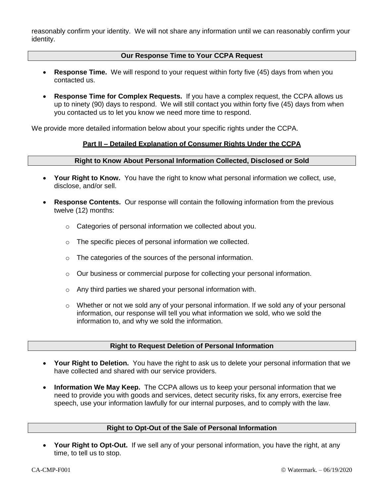reasonably confirm your identity. We will not share any information until we can reasonably confirm your identity.

## **Our Response Time to Your CCPA Request**

- **Response Time.** We will respond to your request within forty five (45) days from when you contacted us.
- **Response Time for Complex Requests.** If you have a complex request, the CCPA allows us up to ninety (90) days to respond. We will still contact you within forty five (45) days from when you contacted us to let you know we need more time to respond.

We provide more detailed information below about your specific rights under the CCPA.

#### **Part II – Detailed Explanation of Consumer Rights Under the CCPA**

#### **Right to Know About Personal Information Collected, Disclosed or Sold**

- **Your Right to Know.** You have the right to know what personal information we collect, use, disclose, and/or sell.
- **Response Contents.** Our response will contain the following information from the previous twelve (12) months:
	- o Categories of personal information we collected about you.
	- o The specific pieces of personal information we collected.
	- o The categories of the sources of the personal information.
	- $\circ$  Our business or commercial purpose for collecting your personal information.
	- o Any third parties we shared your personal information with.
	- $\circ$  Whether or not we sold any of your personal information. If we sold any of your personal information, our response will tell you what information we sold, who we sold the information to, and why we sold the information.

#### **Right to Request Deletion of Personal Information**

- **Your Right to Deletion.** You have the right to ask us to delete your personal information that we have collected and shared with our service providers.
- **Information We May Keep.** The CCPA allows us to keep your personal information that we need to provide you with goods and services, detect security risks, fix any errors, exercise free speech, use your information lawfully for our internal purposes, and to comply with the law.

### **Right to Opt-Out of the Sale of Personal Information**

 **Your Right to Opt-Out.** If we sell any of your personal information, you have the right, at any time, to tell us to stop.